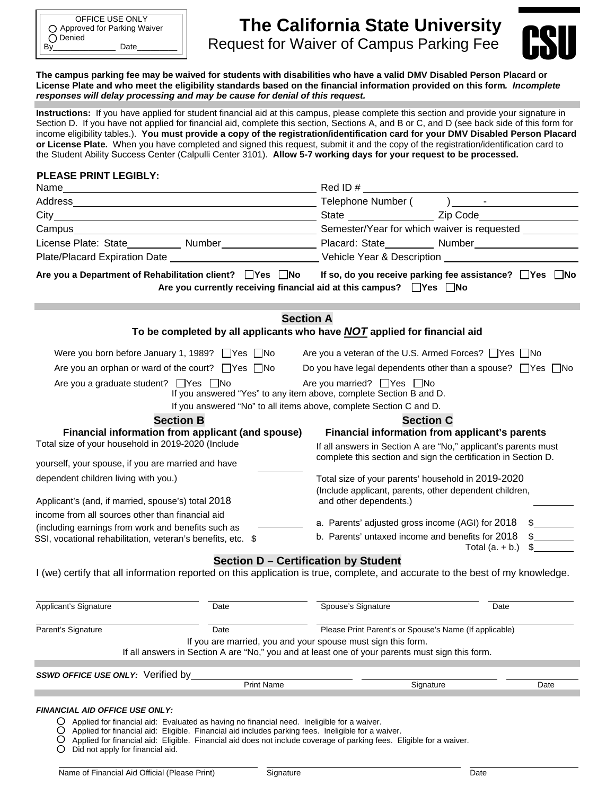# **The California State University**  By\_\_\_\_\_\_\_\_\_\_\_\_\_\_ Date\_\_\_\_\_\_\_\_\_ CSURequest for Waiver of Campus Parking Fee



**The campus parking fee may be waived for students with disabilities who have a valid DMV Disabled Person Placard or License Plate and who meet the eligibility standards based on the financial information provided on this form***. Incomplete responses will delay processing and may be cause for denial of this request.* 

**Instructions:** If you have applied for student financial aid at this campus, please complete this section and provide your signature in Section D. If you have not applied for financial aid, complete this section, Sections A, and B or C, and D (see back side of this form for income eligibility tables.). **You must provide a copy of the registration/identification card for your DMV Disabled Person Placard or License Plate.** When you have completed and signed this request, submit it and the copy of the registration/identification card to the Student Ability Success Center (Calpulli Center 3101). **Allow 5-7 working days for your request to be processed.** 

#### **PLEASE PRINT LEGIBLY:**

| Name<br><u> 1989 - Johann John Stein, markin sanadi a shekara 1989 - An an tsarani a shekara 1989 - An an tsara</u>           | Red ID#                                                                                                                                    |  |
|-------------------------------------------------------------------------------------------------------------------------------|--------------------------------------------------------------------------------------------------------------------------------------------|--|
|                                                                                                                               |                                                                                                                                            |  |
|                                                                                                                               |                                                                                                                                            |  |
|                                                                                                                               |                                                                                                                                            |  |
| License Plate: State___________ Number_______________________ Placard: State_________ Number__________________                |                                                                                                                                            |  |
|                                                                                                                               |                                                                                                                                            |  |
| Are you a Department of Rehabilitation client? $\Box$ Yes $\Box$ No                                                           | If so, do you receive parking fee assistance? $\Box$ Yes $\Box$ No<br>Are you currently receiving financial aid at this campus? □ Yes □ No |  |
| <b>Section A</b><br>To be completed by all applicants who have <b>NOT</b> applied for financial aid                           |                                                                                                                                            |  |
|                                                                                                                               |                                                                                                                                            |  |
| Were you born before January 1, 1989? $\Box$ Yes $\Box$ No                                                                    | Are you a veteran of the U.S. Armed Forces? Yes No                                                                                         |  |
| Are you an orphan or ward of the court? $\Box$ Yes $\Box$ No                                                                  | Do you have legal dependents other than a spouse? $\Box$ Yes $\Box$ No                                                                     |  |
| Are you a graduate student? $\Box$ Yes $\Box$ No                                                                              | Are you married? $\Box$ Yes $\Box$ No<br>If you answered "Yes" to any item above, complete Section B and D.                                |  |
| If you answered "No" to all items above, complete Section C and D.                                                            |                                                                                                                                            |  |
| <b>Section B</b>                                                                                                              | <b>Section C</b>                                                                                                                           |  |
| Financial information from applicant (and spouse)<br>Total size of your household in 2019-2020 (Include                       | Financial information from applicant's parents<br>If all answers in Section A are "No," applicant's parents must                           |  |
| yourself, your spouse, if you are married and have                                                                            | complete this section and sign the certification in Section D.                                                                             |  |
| dependent children living with you.)                                                                                          | Total size of your parents' household in 2019-2020<br>(Include applicant, parents, other dependent children,                               |  |
| Applicant's (and, if married, spouse's) total 2018                                                                            | and other dependents.)                                                                                                                     |  |
| income from all sources other than financial aid                                                                              | a. Parents' adjusted gross income (AGI) for 2018<br>$\frac{1}{2}$                                                                          |  |
| (including earnings from work and benefits such as<br>SSI, vocational rehabilitation, veteran's benefits, etc. \$             | b. Parents' untaxed income and benefits for 2018<br>$\mathcal{S}$<br>Total $(a. + b.)$                                                     |  |
| I (we) certify that all information reported on this application is true, complete, and accurate to the best of my knowledge. | Section D - Certification by Student                                                                                                       |  |
| Applicant's Signature<br>Date                                                                                                 | Spouse's Signature<br>Date                                                                                                                 |  |
| Parent's Signature<br>Date                                                                                                    | Please Print Parent's or Spouse's Name (If applicable)                                                                                     |  |

If you are married, you and your spouse must sign this form.

If all answers in Section A are "No," you and at least one of your parents must sign this form.

*SSWD OFFICE USE ONLY:*Verified by

| <b>Print Name</b> | Signature | Jate |
|-------------------|-----------|------|

- *FINANCIAL AID OFFICE USE ONLY:*
	- Applied for financial aid: Evaluated as having no financial need. Ineligible for a waiver.
	- O Applied for financial aid: Eligible. Financial aid includes parking fees. Ineligible for a waiver.
	- Ŏ Applied for financial aid: Eligible. Financial aid does not include coverage of parking fees. Eligible for a waiver.
	- $\circ$ Did not apply for financial aid.